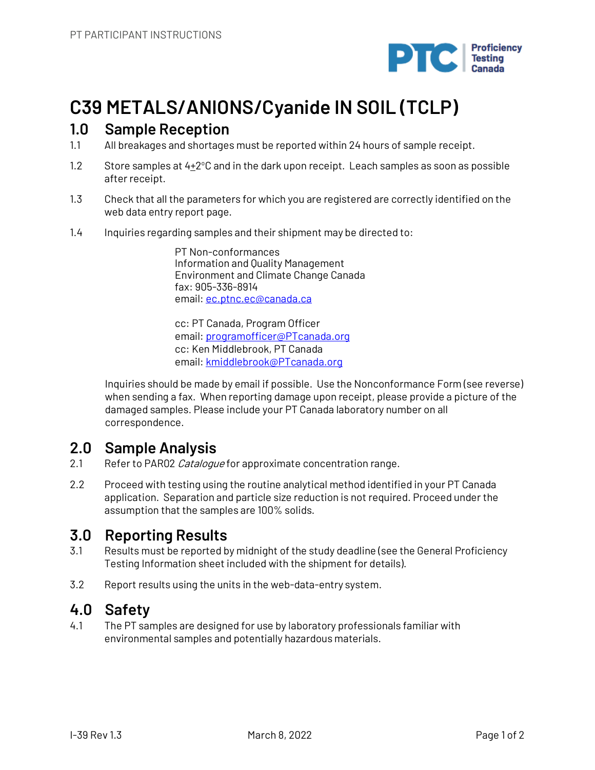

# **C39 METALS/ANIONS/Cyanide IN SOIL (TCLP)**

## **1.0 Sample Reception**

- 1.1 All breakages and shortages must be reported within 24 hours of sample receipt.
- 1.2 Store samples at  $4\pm2^{\circ}$ C and in the dark upon receipt. Leach samples as soon as possible after receipt.
- 1.3 Check that all the parameters for which you are registered are correctly identified on the web data entry report page.
- 1.4 Inquiries regarding samples and their shipment may be directed to:

PT Non-conformances Information and Quality Management Environment and Climate Change Canada fax: 905-336-8914 email: ec.ptnc.ec@canada.ca

cc: PT Canada, Program Officer email: programofficer@PTcanada.org cc: Ken Middlebrook, PT Canada email: kmiddlebrook@PTcanada.org

Inquiries should be made by email if possible. Use the Nonconformance Form (see reverse) when sending a fax. When reporting damage upon receipt, please provide a picture of the damaged samples. Please include your PT Canada laboratory number on all correspondence.

## **2.0 Sample Analysis**

- 2.1 Refer to PAR02 Catalogue for approximate concentration range.
- 2.2 Proceed with testing using the routine analytical method identified in your PT Canada application. Separation and particle size reduction is not required. Proceed under the assumption that the samples are 100% solids.

# **3.0 Reporting Results**

- 3.1 Results must be reported by midnight of the study deadline (see the General Proficiency Testing Information sheet included with the shipment for details).
- 3.2 Report results using the units in the web-data-entry system.

# **4.0 Safety**

4.1 The PT samples are designed for use by laboratory professionals familiar with environmental samples and potentially hazardous materials.